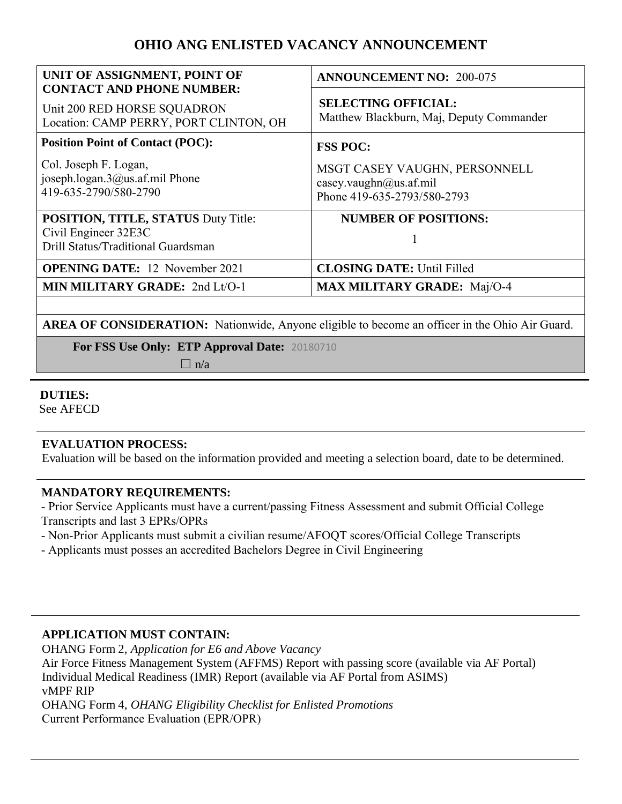# **OHIO ANG ENLISTED VACANCY ANNOUNCEMENT**

| UNIT OF ASSIGNMENT, POINT OF<br><b>CONTACT AND PHONE NUMBER:</b>                                         | <b>ANNOUNCEMENT NO: 200-075</b>                                                        |
|----------------------------------------------------------------------------------------------------------|----------------------------------------------------------------------------------------|
| Unit 200 RED HORSE SQUADRON<br>Location: CAMP PERRY, PORT CLINTON, OH                                    | <b>SELECTING OFFICIAL:</b><br>Matthew Blackburn, Maj, Deputy Commander                 |
| <b>Position Point of Contact (POC):</b>                                                                  | <b>FSS POC:</b>                                                                        |
| Col. Joseph F. Logan,<br>joseph.logan.3@us.af.mil Phone<br>419-635-2790/580-2790                         | MSGT CASEY VAUGHN, PERSONNELL<br>casey.vaughn@us.af.mil<br>Phone 419-635-2793/580-2793 |
| <b>POSITION, TITLE, STATUS Duty Title:</b><br>Civil Engineer 32E3C<br>Drill Status/Traditional Guardsman | <b>NUMBER OF POSITIONS:</b>                                                            |
| <b>OPENING DATE:</b> 12 November 2021                                                                    | <b>CLOSING DATE: Until Filled</b>                                                      |
| MIN MILITARY GRADE: 2nd Lt/O-1                                                                           | <b>MAX MILITARY GRADE:</b> Maj/O-4                                                     |
|                                                                                                          |                                                                                        |

**AREA OF CONSIDERATION:** Nationwide, Anyone eligible to become an officer in the Ohio Air Guard.

**For FSS Use Only: ETP Approval Date:** 20180710

 $\Box$  n/a

#### **DUTIES:**

See AFECD

# **EVALUATION PROCESS:**

Evaluation will be based on the information provided and meeting a selection board, date to be determined.

# **MANDATORY REQUIREMENTS:**

- Prior Service Applicants must have a current/passing Fitness Assessment and submit Official College Transcripts and last 3 EPRs/OPRs

- Non-Prior Applicants must submit a civilian resume/AFOQT scores/Official College Transcripts
- Applicants must posses an accredited Bachelors Degree in Civil Engineering

# **APPLICATION MUST CONTAIN:**

OHANG Form 2, *Application for E6 and Above Vacancy* 

Air Force Fitness Management System (AFFMS) Report with passing score (available via AF Portal) Individual Medical Readiness (IMR) Report (available via AF Portal from ASIMS) vMPF RIP OHANG Form 4, *OHANG Eligibility Checklist for Enlisted Promotions* 

Current Performance Evaluation (EPR/OPR)